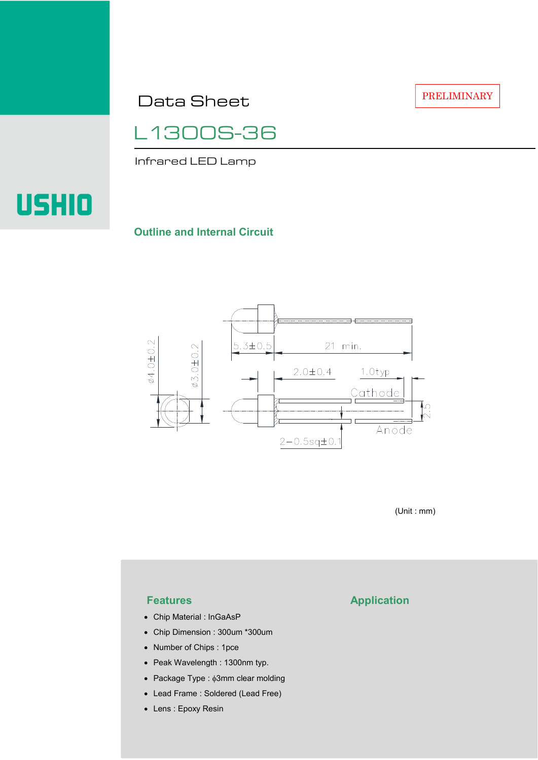Data Sheet

PRELIMINARY

L1300S-36

Infrared LED Lamp

# **USHIO**

### **Outline and Internal Circuit**



(Unit : mm)

- Chip Material : InGaAsP
- Chip Dimension : 300um \*300um
- Number of Chips : 1pce
- Peak Wavelength : 1300nm typ.
- Package Type : φ3mm clear molding
- Lead Frame : Soldered (Lead Free)
- Lens : Epoxy Resin

# **Features Application**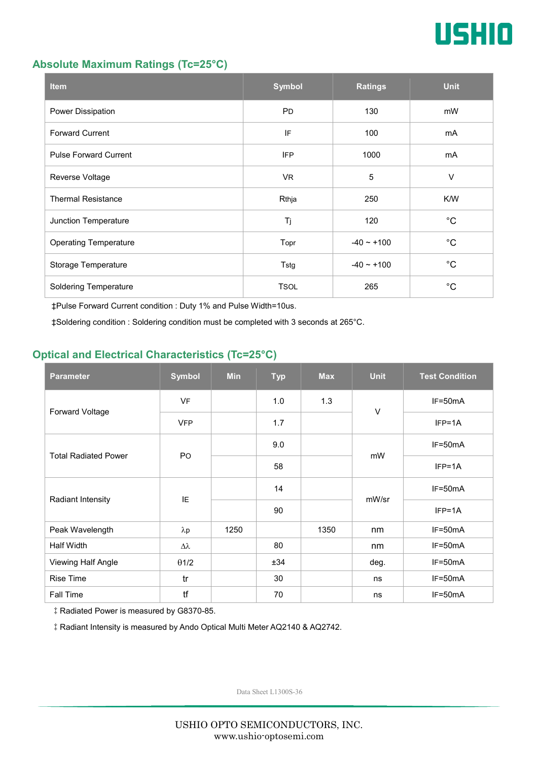

#### **Absolute Maximum Ratings (Tc=25°C)**

| <b>Item</b>                  | <b>Symbol</b> | <b>Ratings</b>  | <b>Unit</b> |
|------------------------------|---------------|-----------------|-------------|
| Power Dissipation            | <b>PD</b>     | 130             | mW          |
| <b>Forward Current</b>       | IF            | 100             | mA          |
| <b>Pulse Forward Current</b> | <b>IFP</b>    | 1000            | mA          |
| Reverse Voltage              | VR.           | $\sqrt{5}$      | $\vee$      |
| <b>Thermal Resistance</b>    | Rthja         | 250             | K/W         |
| Junction Temperature         | Tj            | 120             | $^{\circ}C$ |
| <b>Operating Temperature</b> | Topr          | $-40 \sim +100$ | $^{\circ}C$ |
| Storage Temperature          | Tstg          | $-40 - +100$    | $^{\circ}C$ |
| <b>Soldering Temperature</b> | <b>TSOL</b>   | 265             | $^{\circ}C$ |

‡Pulse Forward Current condition : Duty 1% and Pulse Width=10us.

‡Soldering condition : Soldering condition must be completed with 3 seconds at 265°C.

## **Optical and Electrical Characteristics (Tc=25°C)**

| <b>Parameter</b>            | <b>Symbol</b>    | <b>Min</b> | <b>Typ</b> | <b>Max</b> | <b>Unit</b> | <b>Test Condition</b> |
|-----------------------------|------------------|------------|------------|------------|-------------|-----------------------|
| Forward Voltage             | <b>VF</b>        |            | 1.0        | 1.3        | $\vee$      | IF=50mA               |
|                             | <b>VFP</b>       |            | 1.7        |            |             | $IFP=1A$              |
| <b>Total Radiated Power</b> | P <sub>O</sub>   |            | 9.0        |            | mW          | $IF=50mA$             |
|                             |                  |            | 58         |            |             | $IFP=1A$              |
| Radiant Intensity           | IE               |            | 14         |            | mW/sr       | $IF=50mA$             |
|                             |                  |            | 90         |            |             | $IFP=1A$              |
| Peak Wavelength             | $\lambda$ p      | 1250       |            | 1350       | nm          | $IF=50mA$             |
| <b>Half Width</b>           | $\Delta \lambda$ |            | 80         |            | nm          | $IF=50mA$             |
| Viewing Half Angle          | $\theta$ 1/2     |            | ±34        |            | deg.        | $IF=50mA$             |
| <b>Rise Time</b>            | tr               |            | 30         |            | ns          | $IF=50mA$             |
| Fall Time                   | tf               |            | 70         |            | ns          | $IF=50mA$             |

‡Radiated Power is measured by G8370-85.

‡Radiant Intensity is measured by Ando Optical Multi Meter AQ2140 & AQ2742.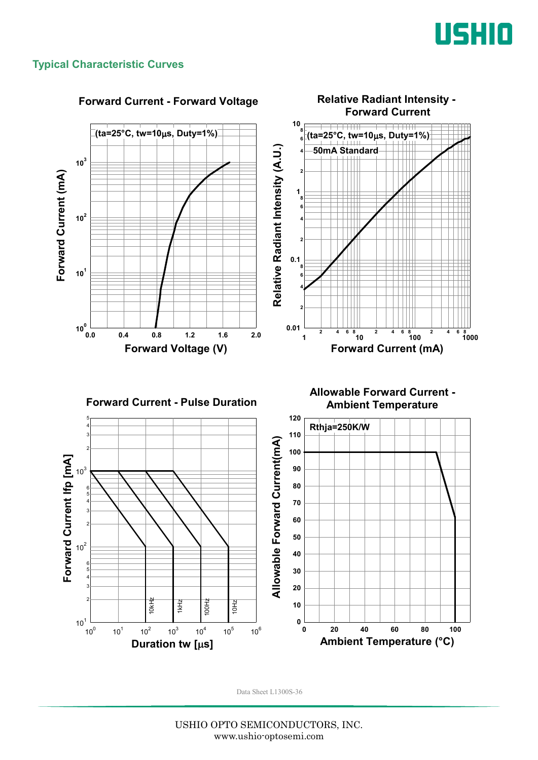

### **Typical Characteristic Curves**



#### **Forward Current - Forward Voltage**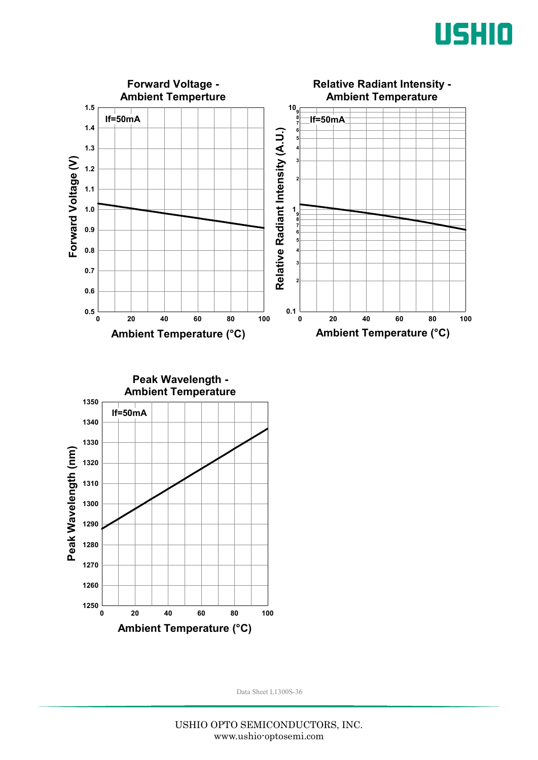



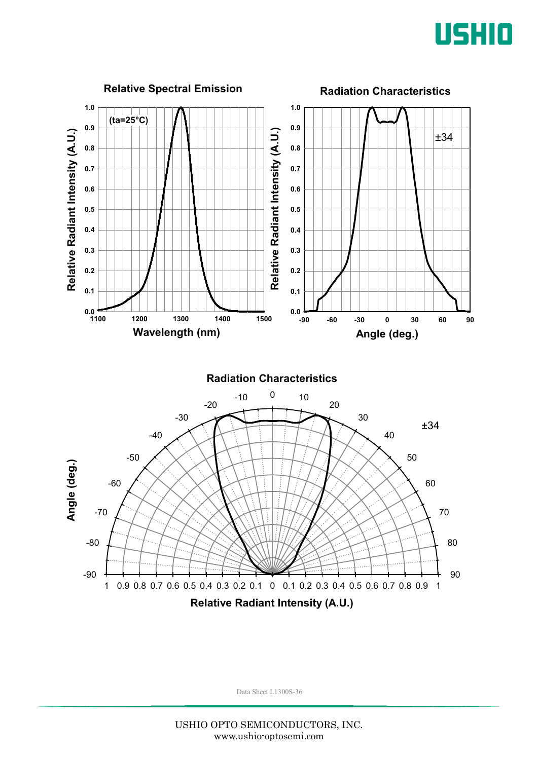